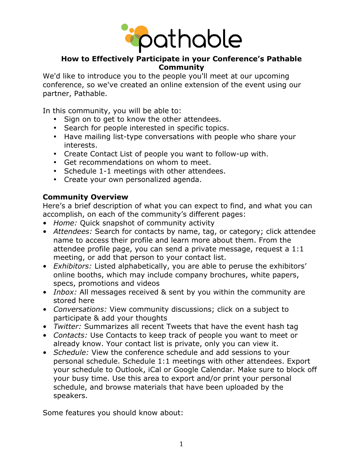

# **How to Effectively Participate in your Conference's Pathable Community**

We'd like to introduce you to the people you'll meet at our upcoming conference, so we've created an online extension of the event using our partner, Pathable.

In this community, you will be able to:

- Sign on to get to know the other attendees.
- Search for people interested in specific topics.
- Have mailing list-type conversations with people who share your interests.
- Create Contact List of people you want to follow-up with.
- Get recommendations on whom to meet.
- Schedule 1-1 meetings with other attendees.
- Create your own personalized agenda.

#### **Community Overview**

Here's a brief description of what you can expect to find, and what you can accomplish, on each of the community's different pages:

- *Home:* Quick snapshot of community activity
- *Attendees:* Search for contacts by name, tag, or category; click attendee name to access their profile and learn more about them. From the attendee profile page, you can send a private message, request a 1:1 meeting, or add that person to your contact list.
- *Exhibitors:* Listed alphabetically, you are able to peruse the exhibitors' online booths, which may include company brochures, white papers, specs, promotions and videos
- *Inbox:* All messages received & sent by you within the community are stored here
- *Conversations:* View community discussions; click on a subject to participate & add your thoughts
- *Twitter:* Summarizes all recent Tweets that have the event hash tag
- *Contacts:* Use Contacts to keep track of people you want to meet or already know. Your contact list is private, only you can view it.
- *Schedule:* View the conference schedule and add sessions to your personal schedule. Schedule 1:1 meetings with other attendees. Export your schedule to Outlook, iCal or Google Calendar. Make sure to block off your busy time. Use this area to export and/or print your personal schedule, and browse materials that have been uploaded by the speakers.

Some features you should know about: